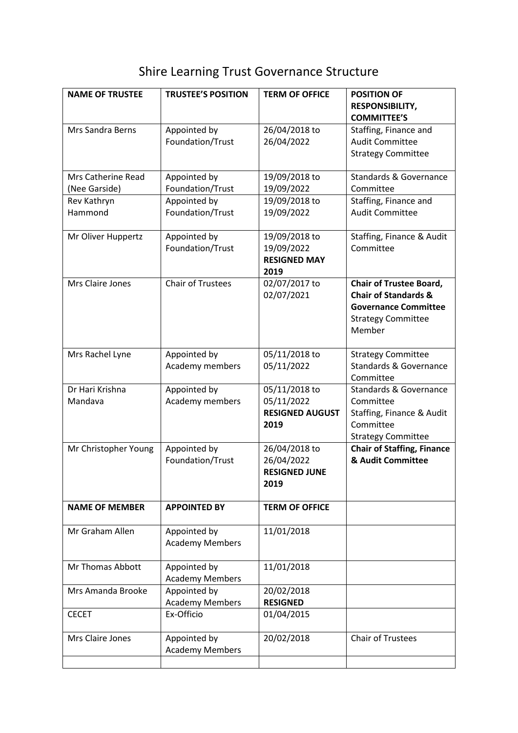## Shire Learning Trust Governance Structure

| <b>NAME OF TRUSTEE</b>              | <b>TRUSTEE'S POSITION</b>              | <b>TERM OF OFFICE</b>                                         | <b>POSITION OF</b><br>RESPONSIBILITY,<br><b>COMMITTEE'S</b>                                                                             |
|-------------------------------------|----------------------------------------|---------------------------------------------------------------|-----------------------------------------------------------------------------------------------------------------------------------------|
| Mrs Sandra Berns                    | Appointed by<br>Foundation/Trust       | 26/04/2018 to<br>26/04/2022                                   | Staffing, Finance and<br><b>Audit Committee</b><br><b>Strategy Committee</b>                                                            |
| Mrs Catherine Read<br>(Nee Garside) | Appointed by<br>Foundation/Trust       | 19/09/2018 to<br>19/09/2022                                   | <b>Standards &amp; Governance</b><br>Committee                                                                                          |
| Rev Kathryn                         | Appointed by                           | 19/09/2018 to                                                 | Staffing, Finance and                                                                                                                   |
| Hammond                             | Foundation/Trust                       | 19/09/2022                                                    | <b>Audit Committee</b>                                                                                                                  |
| Mr Oliver Huppertz                  | Appointed by<br>Foundation/Trust       | 19/09/2018 to<br>19/09/2022<br><b>RESIGNED MAY</b><br>2019    | Staffing, Finance & Audit<br>Committee                                                                                                  |
| Mrs Claire Jones                    | <b>Chair of Trustees</b>               | 02/07/2017 to<br>02/07/2021                                   | <b>Chair of Trustee Board,</b><br><b>Chair of Standards &amp;</b><br><b>Governance Committee</b><br><b>Strategy Committee</b><br>Member |
| Mrs Rachel Lyne                     | Appointed by<br>Academy members        | 05/11/2018 to<br>05/11/2022                                   | <b>Strategy Committee</b><br><b>Standards &amp; Governance</b><br>Committee                                                             |
| Dr Hari Krishna<br>Mandava          | Appointed by<br>Academy members        | 05/11/2018 to<br>05/11/2022<br><b>RESIGNED AUGUST</b><br>2019 | <b>Standards &amp; Governance</b><br>Committee<br>Staffing, Finance & Audit<br>Committee<br><b>Strategy Committee</b>                   |
| Mr Christopher Young                | Appointed by<br>Foundation/Trust       | 26/04/2018 to<br>26/04/2022<br><b>RESIGNED JUNE</b><br>2019   | <b>Chair of Staffing, Finance</b><br>& Audit Committee                                                                                  |
| <b>NAME OF MEMBER</b>               | <b>APPOINTED BY</b>                    | <b>TERM OF OFFICE</b>                                         |                                                                                                                                         |
| Mr Graham Allen                     | Appointed by<br><b>Academy Members</b> | 11/01/2018                                                    |                                                                                                                                         |
| Mr Thomas Abbott                    | Appointed by<br><b>Academy Members</b> | 11/01/2018                                                    |                                                                                                                                         |
| Mrs Amanda Brooke                   | Appointed by<br><b>Academy Members</b> | 20/02/2018<br><b>RESIGNED</b>                                 |                                                                                                                                         |
| <b>CECET</b>                        | Ex-Officio                             | 01/04/2015                                                    |                                                                                                                                         |
| Mrs Claire Jones                    | Appointed by<br><b>Academy Members</b> | 20/02/2018                                                    | <b>Chair of Trustees</b>                                                                                                                |